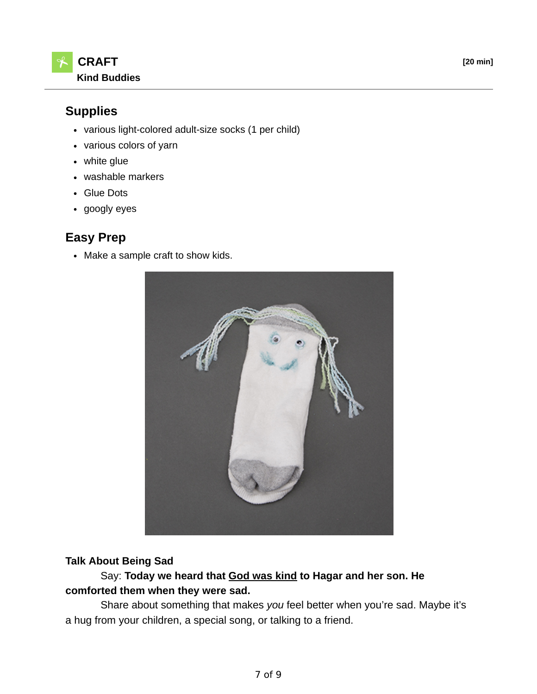## **Supplies**

- various light-colored adult-size socks (1 per child)
- various colors of yarn
- white glue
- washable markers
- Glue Dots
- googly eyes

# **Easy Prep**

• Make a sample craft to show kids.



### **Talk About Being Sad**

### Say: **Today we heard that God was kind to Hagar and her son. He comforted them when they were sad.**

 Share about something that makes *you* feel better when you're sad. Maybe it's a hug from your children, a special song, or talking to a friend.